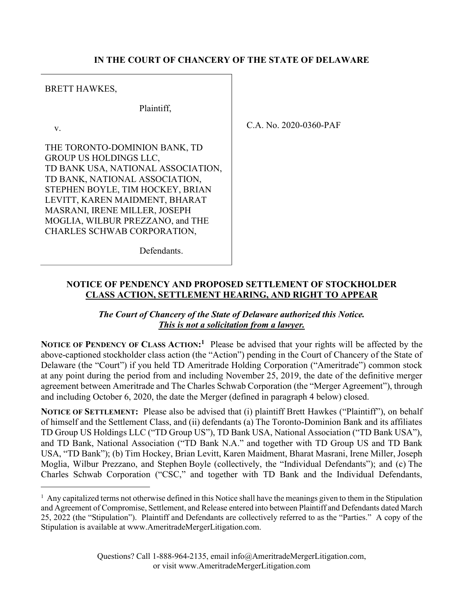#### IN THE COURT OF CHANCERY OF THE STATE OF DELAWARE

BRETT HAWKES,

Plaintiff,

v.

THE TORONTO-DOMINION BANK, TD GROUP US HOLDINGS LLC, TD BANK USA, NATIONAL ASSOCIATION, TD BANK, NATIONAL ASSOCIATION, STEPHEN BOYLE, TIM HOCKEY, BRIAN LEVITT, KAREN MAIDMENT, BHARAT MASRANI, IRENE MILLER, JOSEPH MOGLIA, WILBUR PREZZANO, and THE CHARLES SCHWAB CORPORATION,

C.A. No. 2020-0360-PAF

Defendants.

#### NOTICE OF PENDENCY AND PROPOSED SETTLEMENT OF STOCKHOLDER CLASS ACTION, SETTLEMENT HEARING, AND RIGHT TO APPEAR

The Court of Chancery of the State of Delaware authorized this Notice. This is not a solicitation from a lawyer.

NOTICE OF PENDENCY OF CLASS ACTION:<sup>1</sup> Please be advised that your rights will be affected by the above-captioned stockholder class action (the "Action") pending in the Court of Chancery of the State of Delaware (the "Court") if you held TD Ameritrade Holding Corporation ("Ameritrade") common stock at any point during the period from and including November 25, 2019, the date of the definitive merger agreement between Ameritrade and The Charles Schwab Corporation (the "Merger Agreement"), through and including October 6, 2020, the date the Merger (defined in paragraph 4 below) closed.

NOTICE OF SETTLEMENT: Please also be advised that (i) plaintiff Brett Hawkes ("Plaintiff"), on behalf of himself and the Settlement Class, and (ii) defendants (a) The Toronto-Dominion Bank and its affiliates TD Group US Holdings LLC ("TD Group US"), TD Bank USA, National Association ("TD Bank USA"), and TD Bank, National Association ("TD Bank N.A." and together with TD Group US and TD Bank USA, "TD Bank"); (b) Tim Hockey, Brian Levitt, Karen Maidment, Bharat Masrani, Irene Miller, Joseph Moglia, Wilbur Prezzano, and Stephen Boyle (collectively, the "Individual Defendants"); and (c) The Charles Schwab Corporation ("CSC," and together with TD Bank and the Individual Defendants,

<sup>&</sup>lt;sup>1</sup> Any capitalized terms not otherwise defined in this Notice shall have the meanings given to them in the Stipulation and Agreement of Compromise, Settlement, and Release entered into between Plaintiff and Defendants dated March 25, 2022 (the "Stipulation"). Plaintiff and Defendants are collectively referred to as the "Parties." A copy of the Stipulation is available at www.AmeritradeMergerLitigation.com.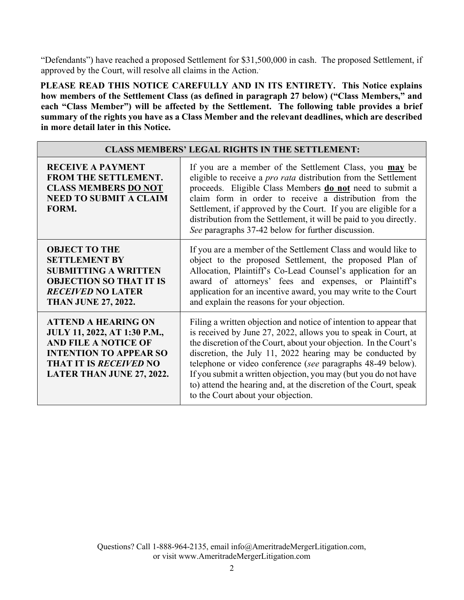"Defendants") have reached a proposed Settlement for \$31,500,000 in cash. The proposed Settlement, if approved by the Court, will resolve all claims in the Action..

PLEASE READ THIS NOTICE CAREFULLY AND IN ITS ENTIRETY. This Notice explains how members of the Settlement Class (as defined in paragraph 27 below) ("Class Members," and each "Class Member") will be affected by the Settlement. The following table provides a brief summary of the rights you have as a Class Member and the relevant deadlines, which are described in more detail later in this Notice.

| <b>CLASS MEMBERS' LEGAL RIGHTS IN THE SETTLEMENT:</b>                                                                                                                                           |                                                                                                                                                                                                                                                                                                                                                                                                                                                                                                                    |  |
|-------------------------------------------------------------------------------------------------------------------------------------------------------------------------------------------------|--------------------------------------------------------------------------------------------------------------------------------------------------------------------------------------------------------------------------------------------------------------------------------------------------------------------------------------------------------------------------------------------------------------------------------------------------------------------------------------------------------------------|--|
| <b>RECEIVE A PAYMENT</b><br>FROM THE SETTLEMENT.<br><b>CLASS MEMBERS DO NOT</b><br><b>NEED TO SUBMIT A CLAIM</b><br>FORM.                                                                       | If you are a member of the Settlement Class, you may be<br>eligible to receive a <i>pro rata</i> distribution from the Settlement<br>proceeds. Eligible Class Members do not need to submit a<br>claim form in order to receive a distribution from the<br>Settlement, if approved by the Court. If you are eligible for a<br>distribution from the Settlement, it will be paid to you directly.<br>See paragraphs 37-42 below for further discussion.                                                             |  |
| <b>OBJECT TO THE</b><br><b>SETTLEMENT BY</b><br><b>SUBMITTING A WRITTEN</b><br><b>OBJECTION SO THAT IT IS</b><br><b>RECEIVED NO LATER</b><br><b>THAN JUNE 27, 2022.</b>                         | If you are a member of the Settlement Class and would like to<br>object to the proposed Settlement, the proposed Plan of<br>Allocation, Plaintiff's Co-Lead Counsel's application for an<br>award of attorneys' fees and expenses, or Plaintiff's<br>application for an incentive award, you may write to the Court<br>and explain the reasons for your objection.                                                                                                                                                 |  |
| <b>ATTEND A HEARING ON</b><br>JULY 11, 2022, AT 1:30 P.M.,<br><b>AND FILE A NOTICE OF</b><br><b>INTENTION TO APPEAR SO</b><br><b>THAT IT IS RECEIVED NO</b><br><b>LATER THAN JUNE 27, 2022.</b> | Filing a written objection and notice of intention to appear that<br>is received by June 27, 2022, allows you to speak in Court, at<br>the discretion of the Court, about your objection. In the Court's<br>discretion, the July 11, 2022 hearing may be conducted by<br>telephone or video conference (see paragraphs 48-49 below).<br>If you submit a written objection, you may (but you do not have<br>to) attend the hearing and, at the discretion of the Court, speak<br>to the Court about your objection. |  |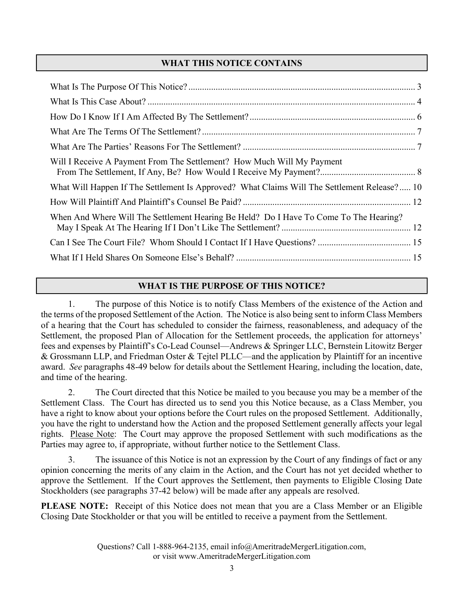# WHAT THIS NOTICE CONTAINS

| Will I Receive A Payment From The Settlement? How Much Will My Payment                      |  |
|---------------------------------------------------------------------------------------------|--|
| What Will Happen If The Settlement Is Approved? What Claims Will The Settlement Release? 10 |  |
|                                                                                             |  |
| When And Where Will The Settlement Hearing Be Held? Do I Have To Come To The Hearing?       |  |
|                                                                                             |  |
|                                                                                             |  |

# WHAT IS THE PURPOSE OF THIS NOTICE?

1. The purpose of this Notice is to notify Class Members of the existence of the Action and the terms of the proposed Settlement of the Action. The Notice is also being sent to inform Class Members of a hearing that the Court has scheduled to consider the fairness, reasonableness, and adequacy of the Settlement, the proposed Plan of Allocation for the Settlement proceeds, the application for attorneys' fees and expenses by Plaintiff's Co-Lead Counsel—Andrews & Springer LLC, Bernstein Litowitz Berger & Grossmann LLP, and Friedman Oster & Tejtel PLLC—and the application by Plaintiff for an incentive award. See paragraphs 48-49 below for details about the Settlement Hearing, including the location, date, and time of the hearing.

2. The Court directed that this Notice be mailed to you because you may be a member of the Settlement Class. The Court has directed us to send you this Notice because, as a Class Member, you have a right to know about your options before the Court rules on the proposed Settlement. Additionally, you have the right to understand how the Action and the proposed Settlement generally affects your legal rights. Please Note: The Court may approve the proposed Settlement with such modifications as the Parties may agree to, if appropriate, without further notice to the Settlement Class.

3. The issuance of this Notice is not an expression by the Court of any findings of fact or any opinion concerning the merits of any claim in the Action, and the Court has not yet decided whether to approve the Settlement. If the Court approves the Settlement, then payments to Eligible Closing Date Stockholders (see paragraphs 37-42 below) will be made after any appeals are resolved.

PLEASE NOTE: Receipt of this Notice does not mean that you are a Class Member or an Eligible Closing Date Stockholder or that you will be entitled to receive a payment from the Settlement.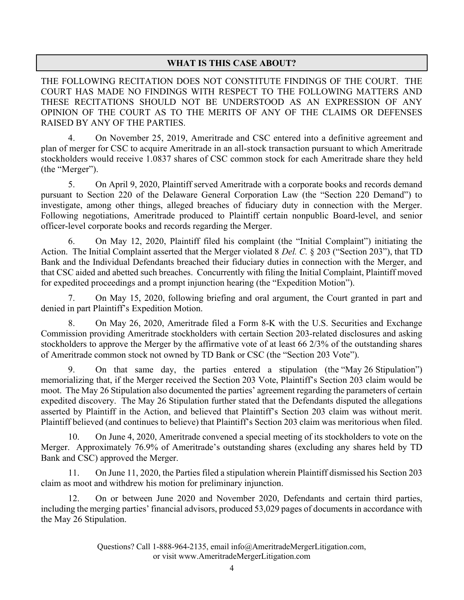## WHAT IS THIS CASE ABOUT?

THE FOLLOWING RECITATION DOES NOT CONSTITUTE FINDINGS OF THE COURT. THE COURT HAS MADE NO FINDINGS WITH RESPECT TO THE FOLLOWING MATTERS AND THESE RECITATIONS SHOULD NOT BE UNDERSTOOD AS AN EXPRESSION OF ANY OPINION OF THE COURT AS TO THE MERITS OF ANY OF THE CLAIMS OR DEFENSES RAISED BY ANY OF THE PARTIES.

4. On November 25, 2019, Ameritrade and CSC entered into a definitive agreement and plan of merger for CSC to acquire Ameritrade in an all-stock transaction pursuant to which Ameritrade stockholders would receive 1.0837 shares of CSC common stock for each Ameritrade share they held (the "Merger").

5. On April 9, 2020, Plaintiff served Ameritrade with a corporate books and records demand pursuant to Section 220 of the Delaware General Corporation Law (the "Section 220 Demand") to investigate, among other things, alleged breaches of fiduciary duty in connection with the Merger. Following negotiations, Ameritrade produced to Plaintiff certain nonpublic Board-level, and senior officer-level corporate books and records regarding the Merger.

6. On May 12, 2020, Plaintiff filed his complaint (the "Initial Complaint") initiating the Action. The Initial Complaint asserted that the Merger violated 8 Del. C. § 203 ("Section 203"), that TD Bank and the Individual Defendants breached their fiduciary duties in connection with the Merger, and that CSC aided and abetted such breaches. Concurrently with filing the Initial Complaint, Plaintiff moved for expedited proceedings and a prompt injunction hearing (the "Expedition Motion").

7. On May 15, 2020, following briefing and oral argument, the Court granted in part and denied in part Plaintiff's Expedition Motion.

8. On May 26, 2020, Ameritrade filed a Form 8-K with the U.S. Securities and Exchange Commission providing Ameritrade stockholders with certain Section 203-related disclosures and asking stockholders to approve the Merger by the affirmative vote of at least 66 2/3% of the outstanding shares of Ameritrade common stock not owned by TD Bank or CSC (the "Section 203 Vote").

9. On that same day, the parties entered a stipulation (the "May 26 Stipulation") memorializing that, if the Merger received the Section 203 Vote, Plaintiff's Section 203 claim would be moot. The May 26 Stipulation also documented the parties' agreement regarding the parameters of certain expedited discovery. The May 26 Stipulation further stated that the Defendants disputed the allegations asserted by Plaintiff in the Action, and believed that Plaintiff's Section 203 claim was without merit. Plaintiff believed (and continues to believe) that Plaintiff's Section 203 claim was meritorious when filed.

10. On June 4, 2020, Ameritrade convened a special meeting of its stockholders to vote on the Merger. Approximately 76.9% of Ameritrade's outstanding shares (excluding any shares held by TD Bank and CSC) approved the Merger.

11. On June 11, 2020, the Parties filed a stipulation wherein Plaintiff dismissed his Section 203 claim as moot and withdrew his motion for preliminary injunction.

12. On or between June 2020 and November 2020, Defendants and certain third parties, including the merging parties' financial advisors, produced 53,029 pages of documents in accordance with the May 26 Stipulation.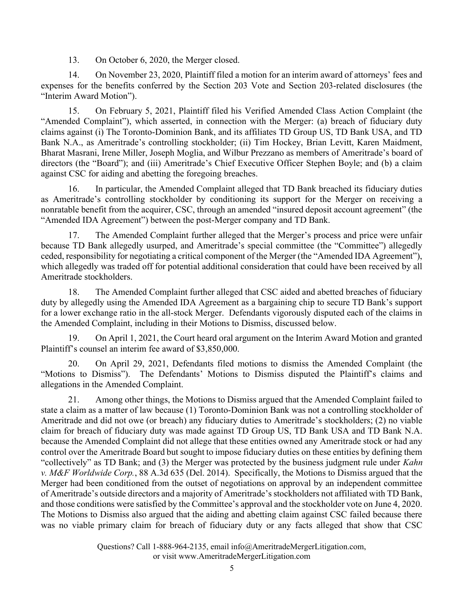13. On October 6, 2020, the Merger closed.

14. On November 23, 2020, Plaintiff filed a motion for an interim award of attorneys' fees and expenses for the benefits conferred by the Section 203 Vote and Section 203-related disclosures (the "Interim Award Motion").

15. On February 5, 2021, Plaintiff filed his Verified Amended Class Action Complaint (the "Amended Complaint"), which asserted, in connection with the Merger: (a) breach of fiduciary duty claims against (i) The Toronto-Dominion Bank, and its affiliates TD Group US, TD Bank USA, and TD Bank N.A., as Ameritrade's controlling stockholder; (ii) Tim Hockey, Brian Levitt, Karen Maidment, Bharat Masrani, Irene Miller, Joseph Moglia, and Wilbur Prezzano as members of Ameritrade's board of directors (the "Board"); and (iii) Ameritrade's Chief Executive Officer Stephen Boyle; and (b) a claim against CSC for aiding and abetting the foregoing breaches.

16. In particular, the Amended Complaint alleged that TD Bank breached its fiduciary duties as Ameritrade's controlling stockholder by conditioning its support for the Merger on receiving a nonratable benefit from the acquirer, CSC, through an amended "insured deposit account agreement" (the "Amended IDA Agreement") between the post-Merger company and TD Bank.

17. The Amended Complaint further alleged that the Merger's process and price were unfair because TD Bank allegedly usurped, and Ameritrade's special committee (the "Committee") allegedly ceded, responsibility for negotiating a critical component of the Merger (the "Amended IDA Agreement"), which allegedly was traded off for potential additional consideration that could have been received by all Ameritrade stockholders.

18. The Amended Complaint further alleged that CSC aided and abetted breaches of fiduciary duty by allegedly using the Amended IDA Agreement as a bargaining chip to secure TD Bank's support for a lower exchange ratio in the all-stock Merger. Defendants vigorously disputed each of the claims in the Amended Complaint, including in their Motions to Dismiss, discussed below.

19. On April 1, 2021, the Court heard oral argument on the Interim Award Motion and granted Plaintiff's counsel an interim fee award of \$3,850,000.

20. On April 29, 2021, Defendants filed motions to dismiss the Amended Complaint (the "Motions to Dismiss"). The Defendants' Motions to Dismiss disputed the Plaintiff's claims and allegations in the Amended Complaint.

21. Among other things, the Motions to Dismiss argued that the Amended Complaint failed to state a claim as a matter of law because (1) Toronto-Dominion Bank was not a controlling stockholder of Ameritrade and did not owe (or breach) any fiduciary duties to Ameritrade's stockholders; (2) no viable claim for breach of fiduciary duty was made against TD Group US, TD Bank USA and TD Bank N.A. because the Amended Complaint did not allege that these entities owned any Ameritrade stock or had any control over the Ameritrade Board but sought to impose fiduciary duties on these entities by defining them "collectively" as TD Bank; and (3) the Merger was protected by the business judgment rule under Kahn v. M&F Worldwide Corp., 88 A.3d 635 (Del. 2014). Specifically, the Motions to Dismiss argued that the Merger had been conditioned from the outset of negotiations on approval by an independent committee of Ameritrade's outside directors and a majority of Ameritrade's stockholders not affiliated with TD Bank, and those conditions were satisfied by the Committee's approval and the stockholder vote on June 4, 2020. The Motions to Dismiss also argued that the aiding and abetting claim against CSC failed because there was no viable primary claim for breach of fiduciary duty or any facts alleged that show that CSC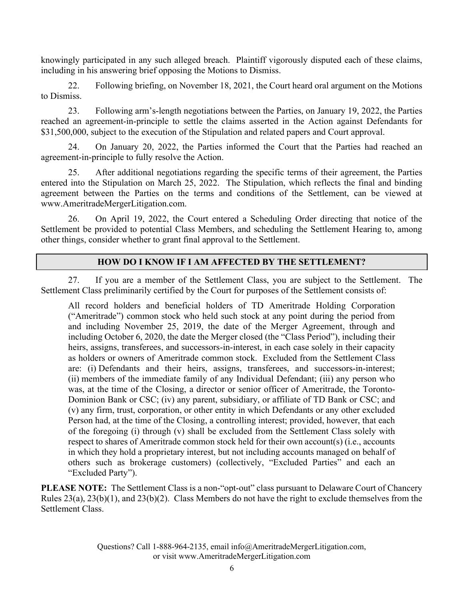knowingly participated in any such alleged breach. Plaintiff vigorously disputed each of these claims, including in his answering brief opposing the Motions to Dismiss.

22. Following briefing, on November 18, 2021, the Court heard oral argument on the Motions to Dismiss.

23. Following arm's-length negotiations between the Parties, on January 19, 2022, the Parties reached an agreement-in-principle to settle the claims asserted in the Action against Defendants for \$31,500,000, subject to the execution of the Stipulation and related papers and Court approval.

24. On January 20, 2022, the Parties informed the Court that the Parties had reached an agreement-in-principle to fully resolve the Action.

25. After additional negotiations regarding the specific terms of their agreement, the Parties entered into the Stipulation on March 25, 2022. The Stipulation, which reflects the final and binding agreement between the Parties on the terms and conditions of the Settlement, can be viewed at www.AmeritradeMergerLitigation.com.

26. On April 19, 2022, the Court entered a Scheduling Order directing that notice of the Settlement be provided to potential Class Members, and scheduling the Settlement Hearing to, among other things, consider whether to grant final approval to the Settlement.

### HOW DO I KNOW IF I AM AFFECTED BY THE SETTLEMENT?

27. If you are a member of the Settlement Class, you are subject to the Settlement. The Settlement Class preliminarily certified by the Court for purposes of the Settlement consists of:

All record holders and beneficial holders of TD Ameritrade Holding Corporation ("Ameritrade") common stock who held such stock at any point during the period from and including November 25, 2019, the date of the Merger Agreement, through and including October 6, 2020, the date the Merger closed (the "Class Period"), including their heirs, assigns, transferees, and successors-in-interest, in each case solely in their capacity as holders or owners of Ameritrade common stock. Excluded from the Settlement Class are: (i) Defendants and their heirs, assigns, transferees, and successors-in-interest; (ii) members of the immediate family of any Individual Defendant; (iii) any person who was, at the time of the Closing, a director or senior officer of Ameritrade, the Toronto-Dominion Bank or CSC; (iv) any parent, subsidiary, or affiliate of TD Bank or CSC; and (v) any firm, trust, corporation, or other entity in which Defendants or any other excluded Person had, at the time of the Closing, a controlling interest; provided, however, that each of the foregoing (i) through (v) shall be excluded from the Settlement Class solely with respect to shares of Ameritrade common stock held for their own account(s) (i.e., accounts in which they hold a proprietary interest, but not including accounts managed on behalf of others such as brokerage customers) (collectively, "Excluded Parties" and each an "Excluded Party").

PLEASE NOTE: The Settlement Class is a non-"opt-out" class pursuant to Delaware Court of Chancery Rules 23(a), 23(b)(1), and 23(b)(2). Class Members do not have the right to exclude themselves from the Settlement Class.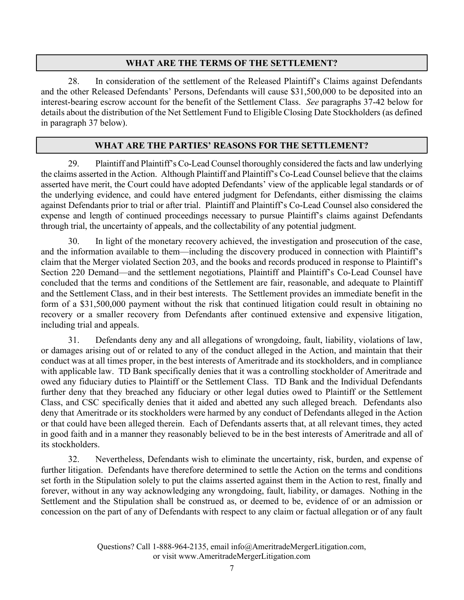## WHAT ARE THE TERMS OF THE SETTLEMENT?

28. In consideration of the settlement of the Released Plaintiff's Claims against Defendants and the other Released Defendants' Persons, Defendants will cause \$31,500,000 to be deposited into an interest-bearing escrow account for the benefit of the Settlement Class. See paragraphs 37-42 below for details about the distribution of the Net Settlement Fund to Eligible Closing Date Stockholders (as defined in paragraph 37 below).

### WHAT ARE THE PARTIES' REASONS FOR THE SETTLEMENT?

29. Plaintiff and Plaintiff's Co-Lead Counsel thoroughly considered the facts and law underlying the claims asserted in the Action. Although Plaintiff and Plaintiff's Co-Lead Counsel believe that the claims asserted have merit, the Court could have adopted Defendants' view of the applicable legal standards or of the underlying evidence, and could have entered judgment for Defendants, either dismissing the claims against Defendants prior to trial or after trial. Plaintiff and Plaintiff's Co-Lead Counsel also considered the expense and length of continued proceedings necessary to pursue Plaintiff's claims against Defendants through trial, the uncertainty of appeals, and the collectability of any potential judgment.

30. In light of the monetary recovery achieved, the investigation and prosecution of the case, and the information available to them—including the discovery produced in connection with Plaintiff's claim that the Merger violated Section 203, and the books and records produced in response to Plaintiff's Section 220 Demand—and the settlement negotiations, Plaintiff and Plaintiff's Co-Lead Counsel have concluded that the terms and conditions of the Settlement are fair, reasonable, and adequate to Plaintiff and the Settlement Class, and in their best interests. The Settlement provides an immediate benefit in the form of a \$31,500,000 payment without the risk that continued litigation could result in obtaining no recovery or a smaller recovery from Defendants after continued extensive and expensive litigation, including trial and appeals.

31. Defendants deny any and all allegations of wrongdoing, fault, liability, violations of law, or damages arising out of or related to any of the conduct alleged in the Action, and maintain that their conduct was at all times proper, in the best interests of Ameritrade and its stockholders, and in compliance with applicable law. TD Bank specifically denies that it was a controlling stockholder of Ameritrade and owed any fiduciary duties to Plaintiff or the Settlement Class. TD Bank and the Individual Defendants further deny that they breached any fiduciary or other legal duties owed to Plaintiff or the Settlement Class, and CSC specifically denies that it aided and abetted any such alleged breach. Defendants also deny that Ameritrade or its stockholders were harmed by any conduct of Defendants alleged in the Action or that could have been alleged therein. Each of Defendants asserts that, at all relevant times, they acted in good faith and in a manner they reasonably believed to be in the best interests of Ameritrade and all of its stockholders.

32. Nevertheless, Defendants wish to eliminate the uncertainty, risk, burden, and expense of further litigation. Defendants have therefore determined to settle the Action on the terms and conditions set forth in the Stipulation solely to put the claims asserted against them in the Action to rest, finally and forever, without in any way acknowledging any wrongdoing, fault, liability, or damages. Nothing in the Settlement and the Stipulation shall be construed as, or deemed to be, evidence of or an admission or concession on the part of any of Defendants with respect to any claim or factual allegation or of any fault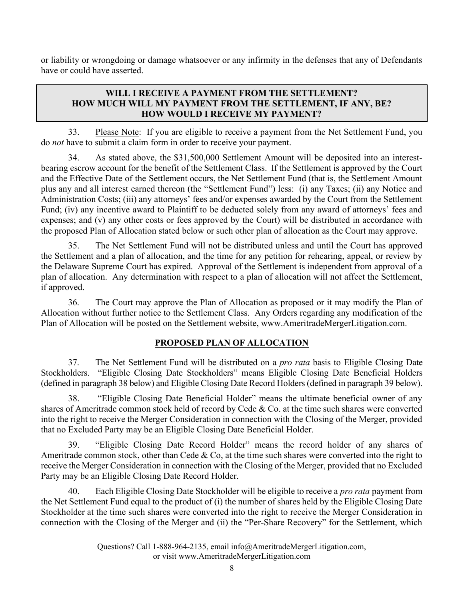or liability or wrongdoing or damage whatsoever or any infirmity in the defenses that any of Defendants have or could have asserted.

## WILL I RECEIVE A PAYMENT FROM THE SETTLEMENT? HOW MUCH WILL MY PAYMENT FROM THE SETTLEMENT, IF ANY, BE? HOW WOULD I RECEIVE MY PAYMENT?

33. Please Note: If you are eligible to receive a payment from the Net Settlement Fund, you do not have to submit a claim form in order to receive your payment.

34. As stated above, the \$31,500,000 Settlement Amount will be deposited into an interestbearing escrow account for the benefit of the Settlement Class. If the Settlement is approved by the Court and the Effective Date of the Settlement occurs, the Net Settlement Fund (that is, the Settlement Amount plus any and all interest earned thereon (the "Settlement Fund") less: (i) any Taxes; (ii) any Notice and Administration Costs; (iii) any attorneys' fees and/or expenses awarded by the Court from the Settlement Fund; (iv) any incentive award to Plaintiff to be deducted solely from any award of attorneys' fees and expenses; and (v) any other costs or fees approved by the Court) will be distributed in accordance with the proposed Plan of Allocation stated below or such other plan of allocation as the Court may approve.

35. The Net Settlement Fund will not be distributed unless and until the Court has approved the Settlement and a plan of allocation, and the time for any petition for rehearing, appeal, or review by the Delaware Supreme Court has expired. Approval of the Settlement is independent from approval of a plan of allocation. Any determination with respect to a plan of allocation will not affect the Settlement, if approved.

36. The Court may approve the Plan of Allocation as proposed or it may modify the Plan of Allocation without further notice to the Settlement Class. Any Orders regarding any modification of the Plan of Allocation will be posted on the Settlement website, www.AmeritradeMergerLitigation.com.

### PROPOSED PLAN OF ALLOCATION

37. The Net Settlement Fund will be distributed on a *pro rata* basis to Eligible Closing Date Stockholders. "Eligible Closing Date Stockholders" means Eligible Closing Date Beneficial Holders (defined in paragraph 38 below) and Eligible Closing Date Record Holders (defined in paragraph 39 below).

38. "Eligible Closing Date Beneficial Holder" means the ultimate beneficial owner of any shares of Ameritrade common stock held of record by Cede & Co. at the time such shares were converted into the right to receive the Merger Consideration in connection with the Closing of the Merger, provided that no Excluded Party may be an Eligible Closing Date Beneficial Holder.

39. "Eligible Closing Date Record Holder" means the record holder of any shares of Ameritrade common stock, other than Cede  $& Co$ , at the time such shares were converted into the right to receive the Merger Consideration in connection with the Closing of the Merger, provided that no Excluded Party may be an Eligible Closing Date Record Holder.

40. Each Eligible Closing Date Stockholder will be eligible to receive a *pro rata* payment from the Net Settlement Fund equal to the product of (i) the number of shares held by the Eligible Closing Date Stockholder at the time such shares were converted into the right to receive the Merger Consideration in connection with the Closing of the Merger and (ii) the "Per-Share Recovery" for the Settlement, which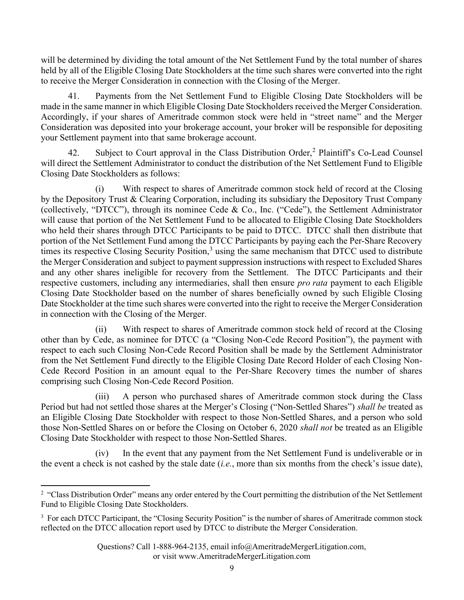will be determined by dividing the total amount of the Net Settlement Fund by the total number of shares held by all of the Eligible Closing Date Stockholders at the time such shares were converted into the right to receive the Merger Consideration in connection with the Closing of the Merger.

41. Payments from the Net Settlement Fund to Eligible Closing Date Stockholders will be made in the same manner in which Eligible Closing Date Stockholders received the Merger Consideration. Accordingly, if your shares of Ameritrade common stock were held in "street name" and the Merger Consideration was deposited into your brokerage account, your broker will be responsible for depositing your Settlement payment into that same brokerage account.

42. Subject to Court approval in the Class Distribution Order,<sup>2</sup> Plaintiff's Co-Lead Counsel will direct the Settlement Administrator to conduct the distribution of the Net Settlement Fund to Eligible Closing Date Stockholders as follows:

(i) With respect to shares of Ameritrade common stock held of record at the Closing by the Depository Trust & Clearing Corporation, including its subsidiary the Depository Trust Company (collectively, "DTCC"), through its nominee Cede & Co., Inc. ("Cede"), the Settlement Administrator will cause that portion of the Net Settlement Fund to be allocated to Eligible Closing Date Stockholders who held their shares through DTCC Participants to be paid to DTCC. DTCC shall then distribute that portion of the Net Settlement Fund among the DTCC Participants by paying each the Per-Share Recovery times its respective Closing Security Position,<sup>3</sup> using the same mechanism that DTCC used to distribute the Merger Consideration and subject to payment suppression instructions with respect to Excluded Shares and any other shares ineligible for recovery from the Settlement. The DTCC Participants and their respective customers, including any intermediaries, shall then ensure *pro rata* payment to each Eligible Closing Date Stockholder based on the number of shares beneficially owned by such Eligible Closing Date Stockholder at the time such shares were converted into the right to receive the Merger Consideration in connection with the Closing of the Merger.

(ii) With respect to shares of Ameritrade common stock held of record at the Closing other than by Cede, as nominee for DTCC (a "Closing Non-Cede Record Position"), the payment with respect to each such Closing Non-Cede Record Position shall be made by the Settlement Administrator from the Net Settlement Fund directly to the Eligible Closing Date Record Holder of each Closing Non-Cede Record Position in an amount equal to the Per-Share Recovery times the number of shares comprising such Closing Non-Cede Record Position.

(iii) A person who purchased shares of Ameritrade common stock during the Class Period but had not settled those shares at the Merger's Closing ("Non-Settled Shares") shall be treated as an Eligible Closing Date Stockholder with respect to those Non-Settled Shares, and a person who sold those Non-Settled Shares on or before the Closing on October 6, 2020 shall not be treated as an Eligible Closing Date Stockholder with respect to those Non-Settled Shares.

(iv) In the event that any payment from the Net Settlement Fund is undeliverable or in the event a check is not cashed by the stale date  $(i.e.,$  more than six months from the check's issue date),

<sup>&</sup>lt;sup>2</sup> "Class Distribution Order" means any order entered by the Court permitting the distribution of the Net Settlement Fund to Eligible Closing Date Stockholders.

 $3 \text{ For each DTCC Participant, the "Closing Security Position" is the number of shares of Ameritrade common stock.}$ reflected on the DTCC allocation report used by DTCC to distribute the Merger Consideration.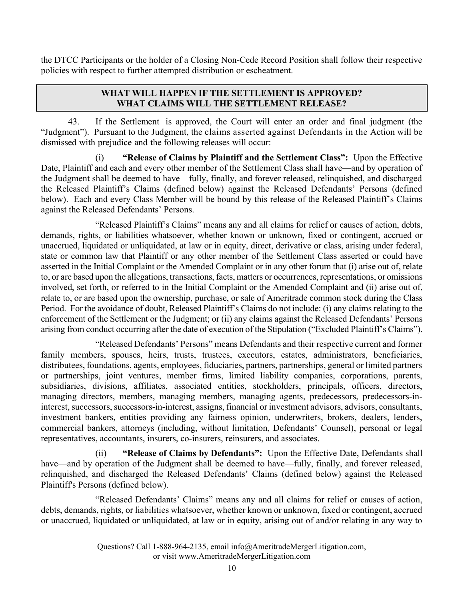the DTCC Participants or the holder of a Closing Non-Cede Record Position shall follow their respective policies with respect to further attempted distribution or escheatment.

#### WHAT WILL HAPPEN IF THE SETTLEMENT IS APPROVED? WHAT CLAIMS WILL THE SETTLEMENT RELEASE?

43. If the Settlement is approved, the Court will enter an order and final judgment (the "Judgment"). Pursuant to the Judgment, the claims asserted against Defendants in the Action will be dismissed with prejudice and the following releases will occur:

(i) "Release of Claims by Plaintiff and the Settlement Class": Upon the Effective Date, Plaintiff and each and every other member of the Settlement Class shall have—and by operation of the Judgment shall be deemed to have—fully, finally, and forever released, relinquished, and discharged the Released Plaintiff's Claims (defined below) against the Released Defendants' Persons (defined below). Each and every Class Member will be bound by this release of the Released Plaintiff's Claims against the Released Defendants' Persons.

"Released Plaintiff's Claims" means any and all claims for relief or causes of action, debts, demands, rights, or liabilities whatsoever, whether known or unknown, fixed or contingent, accrued or unaccrued, liquidated or unliquidated, at law or in equity, direct, derivative or class, arising under federal, state or common law that Plaintiff or any other member of the Settlement Class asserted or could have asserted in the Initial Complaint or the Amended Complaint or in any other forum that (i) arise out of, relate to, or are based upon the allegations, transactions, facts, matters or occurrences, representations, or omissions involved, set forth, or referred to in the Initial Complaint or the Amended Complaint and (ii) arise out of, relate to, or are based upon the ownership, purchase, or sale of Ameritrade common stock during the Class Period. For the avoidance of doubt, Released Plaintiff's Claims do not include: (i) any claims relating to the enforcement of the Settlement or the Judgment; or (ii) any claims against the Released Defendants' Persons arising from conduct occurring after the date of execution of the Stipulation ("Excluded Plaintiff's Claims").

"Released Defendants' Persons" means Defendants and their respective current and former family members, spouses, heirs, trusts, trustees, executors, estates, administrators, beneficiaries, distributees, foundations, agents, employees, fiduciaries, partners, partnerships, general or limited partners or partnerships, joint ventures, member firms, limited liability companies, corporations, parents, subsidiaries, divisions, affiliates, associated entities, stockholders, principals, officers, directors, managing directors, members, managing members, managing agents, predecessors, predecessors-ininterest, successors, successors-in-interest, assigns, financial or investment advisors, advisors, consultants, investment bankers, entities providing any fairness opinion, underwriters, brokers, dealers, lenders, commercial bankers, attorneys (including, without limitation, Defendants' Counsel), personal or legal representatives, accountants, insurers, co-insurers, reinsurers, and associates.

(ii) "Release of Claims by Defendants": Upon the Effective Date, Defendants shall have—and by operation of the Judgment shall be deemed to have—fully, finally, and forever released, relinquished, and discharged the Released Defendants' Claims (defined below) against the Released Plaintiff's Persons (defined below).

"Released Defendants' Claims" means any and all claims for relief or causes of action, debts, demands, rights, or liabilities whatsoever, whether known or unknown, fixed or contingent, accrued or unaccrued, liquidated or unliquidated, at law or in equity, arising out of and/or relating in any way to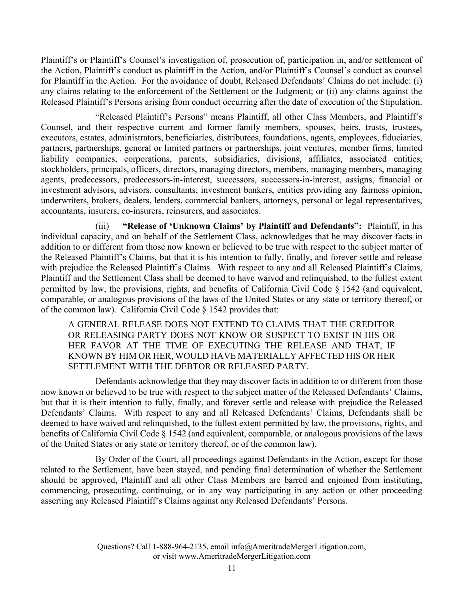Plaintiff's or Plaintiff's Counsel's investigation of, prosecution of, participation in, and/or settlement of the Action, Plaintiff's conduct as plaintiff in the Action, and/or Plaintiff's Counsel's conduct as counsel for Plaintiff in the Action. For the avoidance of doubt, Released Defendants' Claims do not include: (i) any claims relating to the enforcement of the Settlement or the Judgment; or (ii) any claims against the Released Plaintiff's Persons arising from conduct occurring after the date of execution of the Stipulation.

"Released Plaintiff's Persons" means Plaintiff, all other Class Members, and Plaintiff's Counsel, and their respective current and former family members, spouses, heirs, trusts, trustees, executors, estates, administrators, beneficiaries, distributees, foundations, agents, employees, fiduciaries, partners, partnerships, general or limited partners or partnerships, joint ventures, member firms, limited liability companies, corporations, parents, subsidiaries, divisions, affiliates, associated entities, stockholders, principals, officers, directors, managing directors, members, managing members, managing agents, predecessors, predecessors-in-interest, successors, successors-in-interest, assigns, financial or investment advisors, advisors, consultants, investment bankers, entities providing any fairness opinion, underwriters, brokers, dealers, lenders, commercial bankers, attorneys, personal or legal representatives, accountants, insurers, co-insurers, reinsurers, and associates.

(iii) "Release of 'Unknown Claims' by Plaintiff and Defendants": Plaintiff, in his individual capacity, and on behalf of the Settlement Class, acknowledges that he may discover facts in addition to or different from those now known or believed to be true with respect to the subject matter of the Released Plaintiff's Claims, but that it is his intention to fully, finally, and forever settle and release with prejudice the Released Plaintiff's Claims. With respect to any and all Released Plaintiff's Claims, Plaintiff and the Settlement Class shall be deemed to have waived and relinquished, to the fullest extent permitted by law, the provisions, rights, and benefits of California Civil Code § 1542 (and equivalent, comparable, or analogous provisions of the laws of the United States or any state or territory thereof, or of the common law). California Civil Code § 1542 provides that:

A GENERAL RELEASE DOES NOT EXTEND TO CLAIMS THAT THE CREDITOR OR RELEASING PARTY DOES NOT KNOW OR SUSPECT TO EXIST IN HIS OR HER FAVOR AT THE TIME OF EXECUTING THE RELEASE AND THAT, IF KNOWN BY HIM OR HER, WOULD HAVE MATERIALLY AFFECTED HIS OR HER SETTLEMENT WITH THE DEBTOR OR RELEASED PARTY.

Defendants acknowledge that they may discover facts in addition to or different from those now known or believed to be true with respect to the subject matter of the Released Defendants' Claims, but that it is their intention to fully, finally, and forever settle and release with prejudice the Released Defendants' Claims. With respect to any and all Released Defendants' Claims, Defendants shall be deemed to have waived and relinquished, to the fullest extent permitted by law, the provisions, rights, and benefits of California Civil Code § 1542 (and equivalent, comparable, or analogous provisions of the laws of the United States or any state or territory thereof, or of the common law).

By Order of the Court, all proceedings against Defendants in the Action, except for those related to the Settlement, have been stayed, and pending final determination of whether the Settlement should be approved, Plaintiff and all other Class Members are barred and enjoined from instituting, commencing, prosecuting, continuing, or in any way participating in any action or other proceeding asserting any Released Plaintiff's Claims against any Released Defendants' Persons.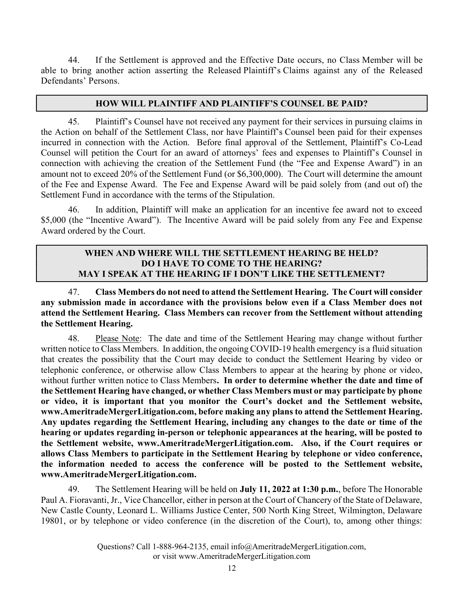44. If the Settlement is approved and the Effective Date occurs, no Class Member will be able to bring another action asserting the Released Plaintiff's Claims against any of the Released Defendants' Persons.

#### HOW WILL PLAINTIFF AND PLAINTIFF'S COUNSEL BE PAID?

45. Plaintiff's Counsel have not received any payment for their services in pursuing claims in the Action on behalf of the Settlement Class, nor have Plaintiff's Counsel been paid for their expenses incurred in connection with the Action. Before final approval of the Settlement, Plaintiff's Co-Lead Counsel will petition the Court for an award of attorneys' fees and expenses to Plaintiff's Counsel in connection with achieving the creation of the Settlement Fund (the "Fee and Expense Award") in an amount not to exceed 20% of the Settlement Fund (or \$6,300,000). The Court will determine the amount of the Fee and Expense Award. The Fee and Expense Award will be paid solely from (and out of) the Settlement Fund in accordance with the terms of the Stipulation.

46. In addition, Plaintiff will make an application for an incentive fee award not to exceed \$5,000 (the "Incentive Award"). The Incentive Award will be paid solely from any Fee and Expense Award ordered by the Court.

#### WHEN AND WHERE WILL THE SETTLEMENT HEARING BE HELD? DO I HAVE TO COME TO THE HEARING? MAY I SPEAK AT THE HEARING IF I DON'T LIKE THE SETTLEMENT?

47. Class Members do not need to attend the Settlement Hearing. The Court will consider any submission made in accordance with the provisions below even if a Class Member does not attend the Settlement Hearing. Class Members can recover from the Settlement without attending the Settlement Hearing.

48. Please Note: The date and time of the Settlement Hearing may change without further written notice to Class Members. In addition, the ongoing COVID-19 health emergency is a fluid situation that creates the possibility that the Court may decide to conduct the Settlement Hearing by video or telephonic conference, or otherwise allow Class Members to appear at the hearing by phone or video, without further written notice to Class Members. In order to determine whether the date and time of the Settlement Hearing have changed, or whether Class Members must or may participate by phone or video, it is important that you monitor the Court's docket and the Settlement website, www.AmeritradeMergerLitigation.com, before making any plans to attend the Settlement Hearing. Any updates regarding the Settlement Hearing, including any changes to the date or time of the hearing or updates regarding in-person or telephonic appearances at the hearing, will be posted to the Settlement website, www.AmeritradeMergerLitigation.com. Also, if the Court requires or allows Class Members to participate in the Settlement Hearing by telephone or video conference, the information needed to access the conference will be posted to the Settlement website, www.AmeritradeMergerLitigation.com.

49. The Settlement Hearing will be held on **July 11, 2022 at 1:30 p.m.**, before The Honorable Paul A. Fioravanti, Jr., Vice Chancellor, either in person at the Court of Chancery of the State of Delaware, New Castle County, Leonard L. Williams Justice Center, 500 North King Street, Wilmington, Delaware 19801, or by telephone or video conference (in the discretion of the Court), to, among other things: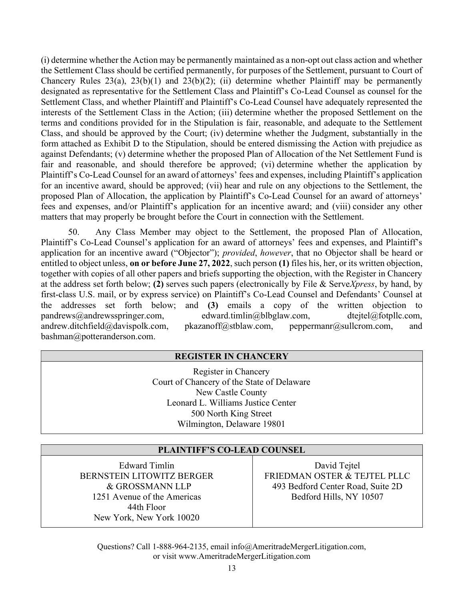(i) determine whether the Action may be permanently maintained as a non-opt out class action and whether the Settlement Class should be certified permanently, for purposes of the Settlement, pursuant to Court of Chancery Rules  $23(a)$ ,  $23(b)(1)$  and  $23(b)(2)$ ; (ii) determine whether Plaintiff may be permanently designated as representative for the Settlement Class and Plaintiff's Co-Lead Counsel as counsel for the Settlement Class, and whether Plaintiff and Plaintiff's Co-Lead Counsel have adequately represented the interests of the Settlement Class in the Action; (iii) determine whether the proposed Settlement on the terms and conditions provided for in the Stipulation is fair, reasonable, and adequate to the Settlement Class, and should be approved by the Court; (iv) determine whether the Judgment, substantially in the form attached as Exhibit D to the Stipulation, should be entered dismissing the Action with prejudice as against Defendants; (v) determine whether the proposed Plan of Allocation of the Net Settlement Fund is fair and reasonable, and should therefore be approved; (vi) determine whether the application by Plaintiff's Co-Lead Counsel for an award of attorneys' fees and expenses, including Plaintiff's application for an incentive award, should be approved; (vii) hear and rule on any objections to the Settlement, the proposed Plan of Allocation, the application by Plaintiff's Co-Lead Counsel for an award of attorneys' fees and expenses, and/or Plaintiff's application for an incentive award; and (viii) consider any other matters that may properly be brought before the Court in connection with the Settlement.

50. Any Class Member may object to the Settlement, the proposed Plan of Allocation, Plaintiff's Co-Lead Counsel's application for an award of attorneys' fees and expenses, and Plaintiff's application for an incentive award ("Objector"); provided, however, that no Objector shall be heard or entitled to object unless, on or before June 27, 2022, such person (1) files his, her, or its written objection, together with copies of all other papers and briefs supporting the objection, with the Register in Chancery at the address set forth below; (2) serves such papers (electronically by File & Serve $X$ press, by hand, by first-class U.S. mail, or by express service) on Plaintiff's Co-Lead Counsel and Defendants' Counsel at the addresses set forth below; and (3) emails a copy of the written objection to pandrews@andrewsspringer.com, edward.timlin@blbglaw.com, dtejtel@fotpllc.com, andrew.ditchfield@davispolk.com, pkazanoff@stblaw.com, peppermanr@sullcrom.com, and bashman@potteranderson.com.

### REGISTER IN CHANCERY

Register in Chancery Court of Chancery of the State of Delaware New Castle County Leonard L. Williams Justice Center 500 North King Street Wilmington, Delaware 19801

#### PLAINTIFF'S CO-LEAD COUNSEL

Edward Timlin BERNSTEIN LITOWITZ BERGER & GROSSMANN LLP 1251 Avenue of the Americas 44th Floor New York, New York 10020

David Tejtel FRIEDMAN OSTER & TEJTEL PLLC 493 Bedford Center Road, Suite 2D Bedford Hills, NY 10507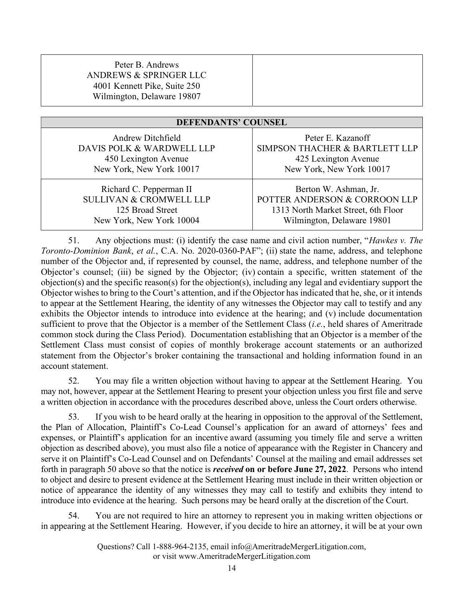| Peter B. Andrews<br>ANDREWS & SPRINGER LLC<br>4001 Kennett Pike, Suite 250<br>Wilmington, Delaware 19807 |  |
|----------------------------------------------------------------------------------------------------------|--|
|                                                                                                          |  |

| <b>DEFENDANTS' COUNSEL</b>         |                                     |  |
|------------------------------------|-------------------------------------|--|
| Andrew Ditchfield                  | Peter E. Kazanoff                   |  |
| DAVIS POLK & WARDWELL LLP          | SIMPSON THACHER & BARTLETT LLP      |  |
| 450 Lexington Avenue               | 425 Lexington Avenue                |  |
| New York, New York 10017           | New York, New York 10017            |  |
| Richard C. Pepperman II            | Berton W. Ashman, Jr.               |  |
| <b>SULLIVAN &amp; CROMWELL LLP</b> | POTTER ANDERSON & CORROON LLP       |  |
| 125 Broad Street                   | 1313 North Market Street, 6th Floor |  |
| New York, New York 10004           | Wilmington, Delaware 19801          |  |

51. Any objections must: (i) identify the case name and civil action number, "Hawkes v. The Toronto-Dominion Bank, et al., C.A. No. 2020-0360-PAF"; (ii) state the name, address, and telephone number of the Objector and, if represented by counsel, the name, address, and telephone number of the Objector's counsel; (iii) be signed by the Objector; (iv) contain a specific, written statement of the objection(s) and the specific reason(s) for the objection(s), including any legal and evidentiary support the Objector wishes to bring to the Court's attention, and if the Objector has indicated that he, she, or it intends to appear at the Settlement Hearing, the identity of any witnesses the Objector may call to testify and any exhibits the Objector intends to introduce into evidence at the hearing; and (v) include documentation sufficient to prove that the Objector is a member of the Settlement Class *(i.e., held shares of Ameritrade*) common stock during the Class Period). Documentation establishing that an Objector is a member of the Settlement Class must consist of copies of monthly brokerage account statements or an authorized statement from the Objector's broker containing the transactional and holding information found in an account statement.

52. You may file a written objection without having to appear at the Settlement Hearing. You may not, however, appear at the Settlement Hearing to present your objection unless you first file and serve a written objection in accordance with the procedures described above, unless the Court orders otherwise.

53. If you wish to be heard orally at the hearing in opposition to the approval of the Settlement, the Plan of Allocation, Plaintiff's Co-Lead Counsel's application for an award of attorneys' fees and expenses, or Plaintiff's application for an incentive award (assuming you timely file and serve a written objection as described above), you must also file a notice of appearance with the Register in Chancery and serve it on Plaintiff's Co-Lead Counsel and on Defendants' Counsel at the mailing and email addresses set forth in paragraph 50 above so that the notice is *received* on or before June 27, 2022. Persons who intend to object and desire to present evidence at the Settlement Hearing must include in their written objection or notice of appearance the identity of any witnesses they may call to testify and exhibits they intend to introduce into evidence at the hearing. Such persons may be heard orally at the discretion of the Court.

54. You are not required to hire an attorney to represent you in making written objections or in appearing at the Settlement Hearing. However, if you decide to hire an attorney, it will be at your own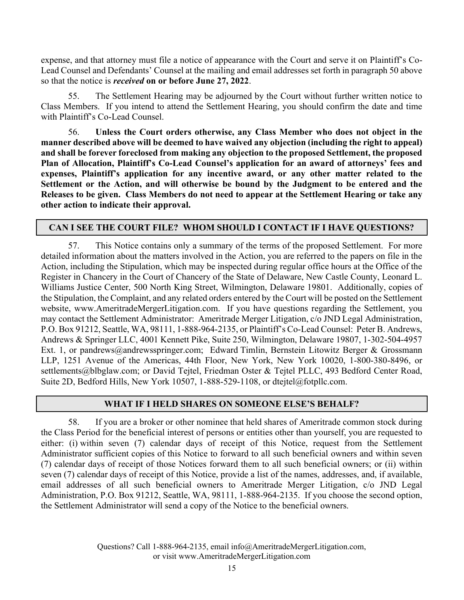expense, and that attorney must file a notice of appearance with the Court and serve it on Plaintiff's Co-Lead Counsel and Defendants' Counsel at the mailing and email addresses set forth in paragraph 50 above so that the notice is received on or before June 27, 2022.

55. The Settlement Hearing may be adjourned by the Court without further written notice to Class Members. If you intend to attend the Settlement Hearing, you should confirm the date and time with Plaintiff's Co-Lead Counsel.

56. Unless the Court orders otherwise, any Class Member who does not object in the manner described above will be deemed to have waived any objection (including the right to appeal) and shall be forever foreclosed from making any objection to the proposed Settlement, the proposed Plan of Allocation, Plaintiff's Co-Lead Counsel's application for an award of attorneys' fees and expenses, Plaintiff's application for any incentive award, or any other matter related to the Settlement or the Action, and will otherwise be bound by the Judgment to be entered and the Releases to be given. Class Members do not need to appear at the Settlement Hearing or take any other action to indicate their approval.

### CAN I SEE THE COURT FILE? WHOM SHOULD I CONTACT IF I HAVE QUESTIONS?

57. This Notice contains only a summary of the terms of the proposed Settlement. For more detailed information about the matters involved in the Action, you are referred to the papers on file in the Action, including the Stipulation, which may be inspected during regular office hours at the Office of the Register in Chancery in the Court of Chancery of the State of Delaware, New Castle County, Leonard L. Williams Justice Center, 500 North King Street, Wilmington, Delaware 19801. Additionally, copies of the Stipulation, the Complaint, and any related orders entered by the Court will be posted on the Settlement website, www.AmeritradeMergerLitigation.com. If you have questions regarding the Settlement, you may contact the Settlement Administrator: Ameritrade Merger Litigation, c/o JND Legal Administration, P.O. Box 91212, Seattle, WA, 98111, 1-888-964-2135, or Plaintiff's Co-Lead Counsel: Peter B. Andrews, Andrews & Springer LLC, 4001 Kennett Pike, Suite 250, Wilmington, Delaware 19807, 1-302-504-4957 Ext. 1, or pandrews@andrewsspringer.com; Edward Timlin, Bernstein Litowitz Berger & Grossmann LLP, 1251 Avenue of the Americas, 44th Floor, New York, New York 10020, 1-800-380-8496, or settlements@blbglaw.com; or David Tejtel, Friedman Oster & Tejtel PLLC, 493 Bedford Center Road, Suite 2D, Bedford Hills, New York 10507, 1-888-529-1108, or dtejtel@fotpllc.com.

### WHAT IF I HELD SHARES ON SOMEONE ELSE'S BEHALF?

58. If you are a broker or other nominee that held shares of Ameritrade common stock during the Class Period for the beneficial interest of persons or entities other than yourself, you are requested to either: (i) within seven (7) calendar days of receipt of this Notice, request from the Settlement Administrator sufficient copies of this Notice to forward to all such beneficial owners and within seven (7) calendar days of receipt of those Notices forward them to all such beneficial owners; or (ii) within seven (7) calendar days of receipt of this Notice, provide a list of the names, addresses, and, if available, email addresses of all such beneficial owners to Ameritrade Merger Litigation, c/o JND Legal Administration, P.O. Box 91212, Seattle, WA, 98111, 1-888-964-2135. If you choose the second option, the Settlement Administrator will send a copy of the Notice to the beneficial owners.